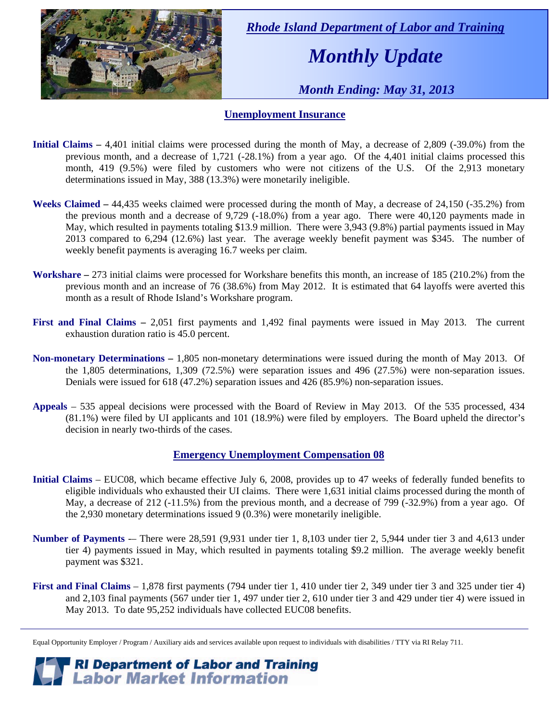

 *Rhode Island Department of Labor and Training* 

# *Monthly Update*

 *Month Ending: May 31, 2013* 

#### **Unemployment Insurance**

- **Initial Claims** 4,401 initial claims were processed during the month of May, a decrease of 2,809 (-39.0%) from the previous month, and a decrease of 1,721 (-28.1%) from a year ago. Of the 4,401 initial claims processed this month, 419 (9.5%) were filed by customers who were not citizens of the U.S. Of the 2,913 monetary determinations issued in May, 388 (13.3%) were monetarily ineligible.
- **Weeks Claimed** 44,435 weeks claimed were processed during the month of May, a decrease of 24,150 (-35.2%) from the previous month and a decrease of 9,729 (-18.0%) from a year ago. There were 40,120 payments made in May, which resulted in payments totaling \$13.9 million. There were 3,943 (9.8%) partial payments issued in May 2013 compared to 6,294 (12.6%) last year. The average weekly benefit payment was \$345. The number of weekly benefit payments is averaging 16.7 weeks per claim.
- **Workshare –** 273 initial claims were processed for Workshare benefits this month, an increase of 185 (210.2%) from the previous month and an increase of 76 (38.6%) from May 2012. It is estimated that 64 layoffs were averted this month as a result of Rhode Island's Workshare program.
- **First and Final Claims –** 2,051 first payments and 1,492 final payments were issued in May 2013. The current exhaustion duration ratio is 45.0 percent.
- **Non-monetary Determinations –** 1,805 non-monetary determinations were issued during the month of May 2013. Of the 1,805 determinations, 1,309 (72.5%) were separation issues and 496 (27.5%) were non-separation issues. Denials were issued for 618 (47.2%) separation issues and 426 (85.9%) non-separation issues.
- **Appeals** 535 appeal decisions were processed with the Board of Review in May 2013. Of the 535 processed, 434 (81.1%) were filed by UI applicants and 101 (18.9%) were filed by employers. The Board upheld the director's decision in nearly two-thirds of the cases.

#### **Emergency Unemployment Compensation 08**

- **Initial Claims**  EUC08, which became effective July 6, 2008, provides up to 47 weeks of federally funded benefits to eligible individuals who exhausted their UI claims. There were 1,631 initial claims processed during the month of May, a decrease of 212 (-11.5%) from the previous month, and a decrease of 799 (-32.9%) from a year ago. Of the 2,930 monetary determinations issued 9 (0.3%) were monetarily ineligible.
- **Number of Payments** -– There were 28,591 (9,931 under tier 1, 8,103 under tier 2, 5,944 under tier 3 and 4,613 under tier 4) payments issued in May, which resulted in payments totaling \$9.2 million. The average weekly benefit payment was \$321.
- **First and Final Claims**  1,878 first payments (794 under tier 1, 410 under tier 2, 349 under tier 3 and 325 under tier 4) and 2,103 final payments (567 under tier 1, 497 under tier 2, 610 under tier 3 and 429 under tier 4) were issued in May 2013. To date 95,252 individuals have collected EUC08 benefits.

*RI Department of Labor and Training*<br>*Labor Market Information* 

Equal Opportunity Employer / Program / Auxiliary aids and services available upon request to individuals with disabilities / TTY via RI Relay 711.